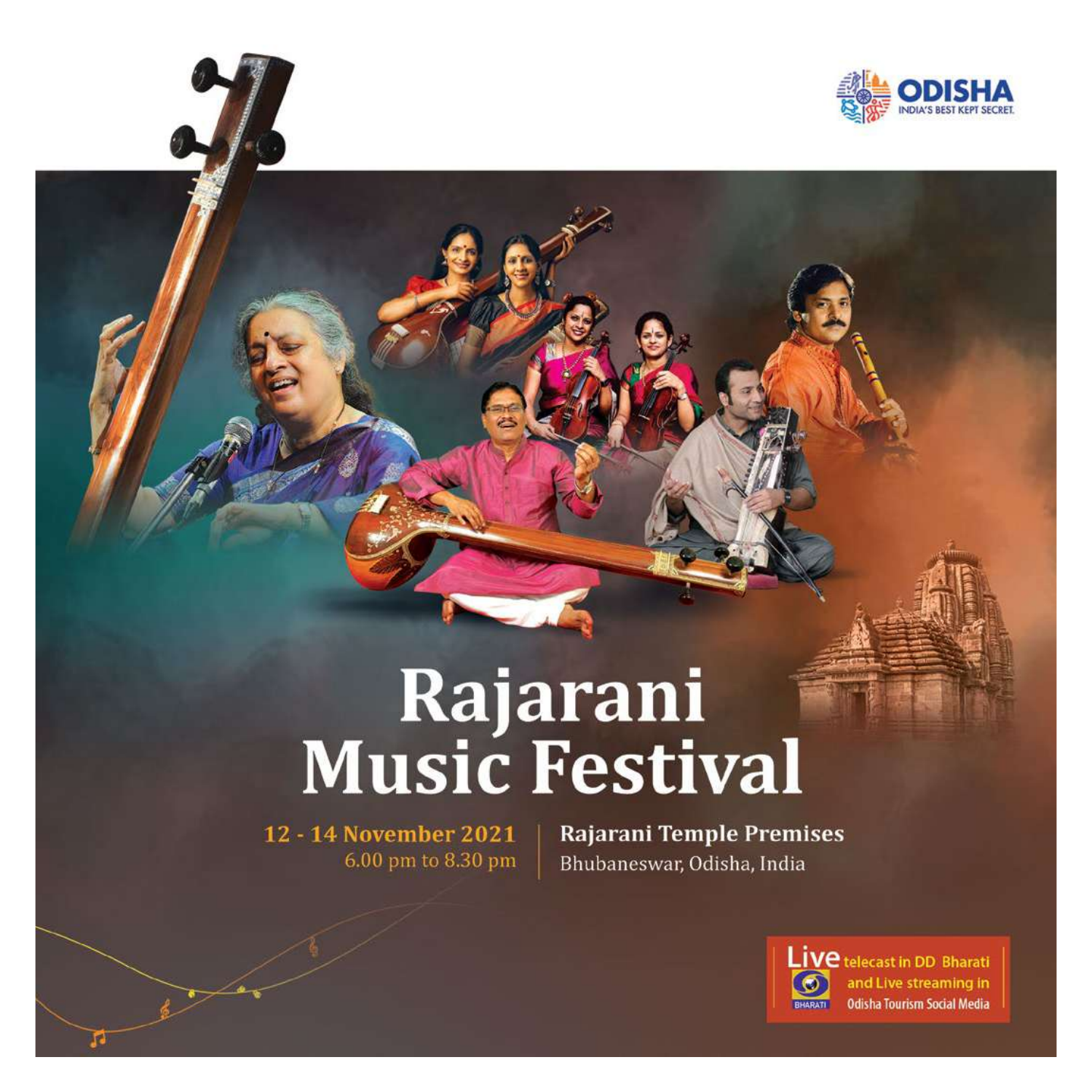

## Rajarani<br>Music Festival

12 - 14 November 2021 6.00 pm to 8.30 pm **Rajarani Temple Premises** Bhubaneswar, Odisha, India



Live telecast in DD Bharati and Live streaming in **Odisha Tourism Social Media**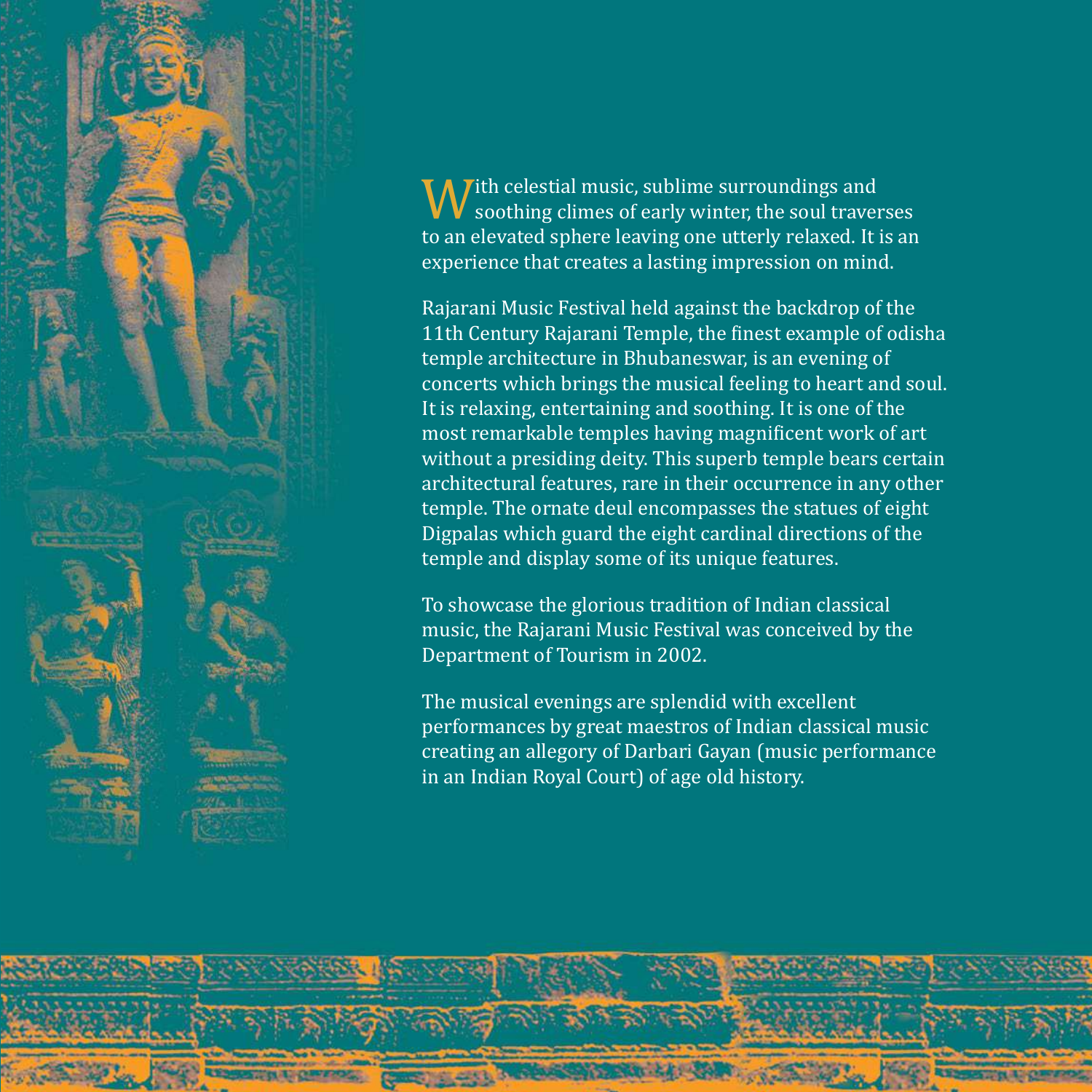

With celestial music, sublime surroundings and<br>to an elevated sphere leaving one utterly relaxed. It is an<br>to an elevated sphere leaving one utterly relaxed. It is an soothing climes of early winter, the soul traverses experience that creates a lasting impression on mind.

Rajarani Music Festival held against the backdrop of the 11th Century Rajarani Temple, the finest example of odisha temple architecture in Bhubaneswar, is an evening of concerts which brings the musical feeling to heart and soul. It is relaxing, entertaining and soothing. It is one of the most remarkable temples having magnificent work of art without a presiding deity. This superb temple bears certain architectural features, rare in their occurrence in any other temple. The ornate deul encompasses the statues of eight Digpalas which guard the eight cardinal directions of the temple and display some of its unique features.

To showcase the glorious tradition of Indian classical music, the Rajarani Music Festival was conceived by the Department of Tourism in 2002.

The musical evenings are splendid with excellent performances by great maestros of Indian classical music creating an allegory of Darbari Gayan (music performance in an Indian Royal Court) of age old history.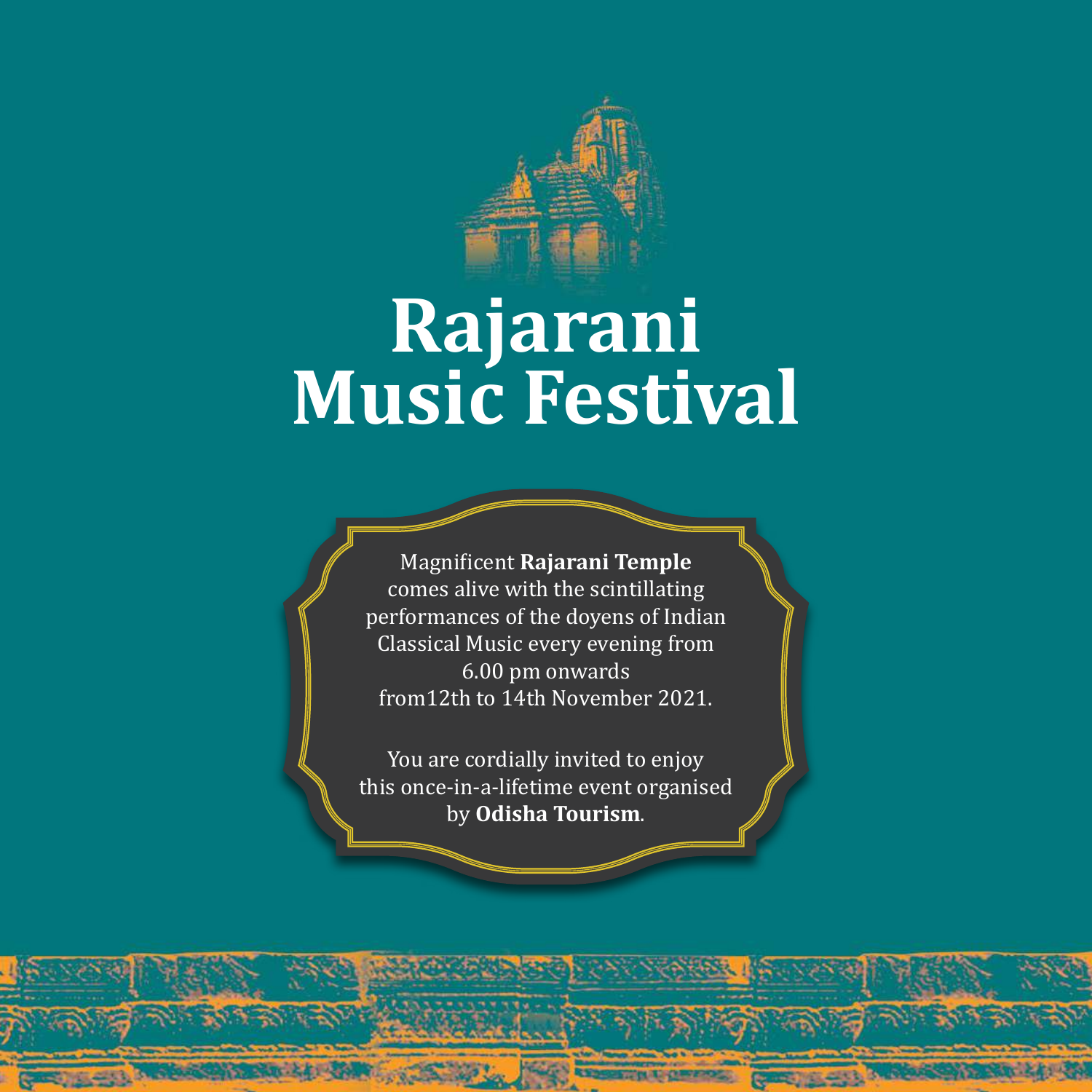

# **Rajarani Music Festival**

Magnificent **Rajarani Temple** comes alive with the scintillating performances of the doyens of Indian Classical Music every evening from 6.00 pm onwards from12th to 14th November 2021.

You are cordially invited to enjoy this once-in-a-lifetime event organised by **Odisha Tourism**.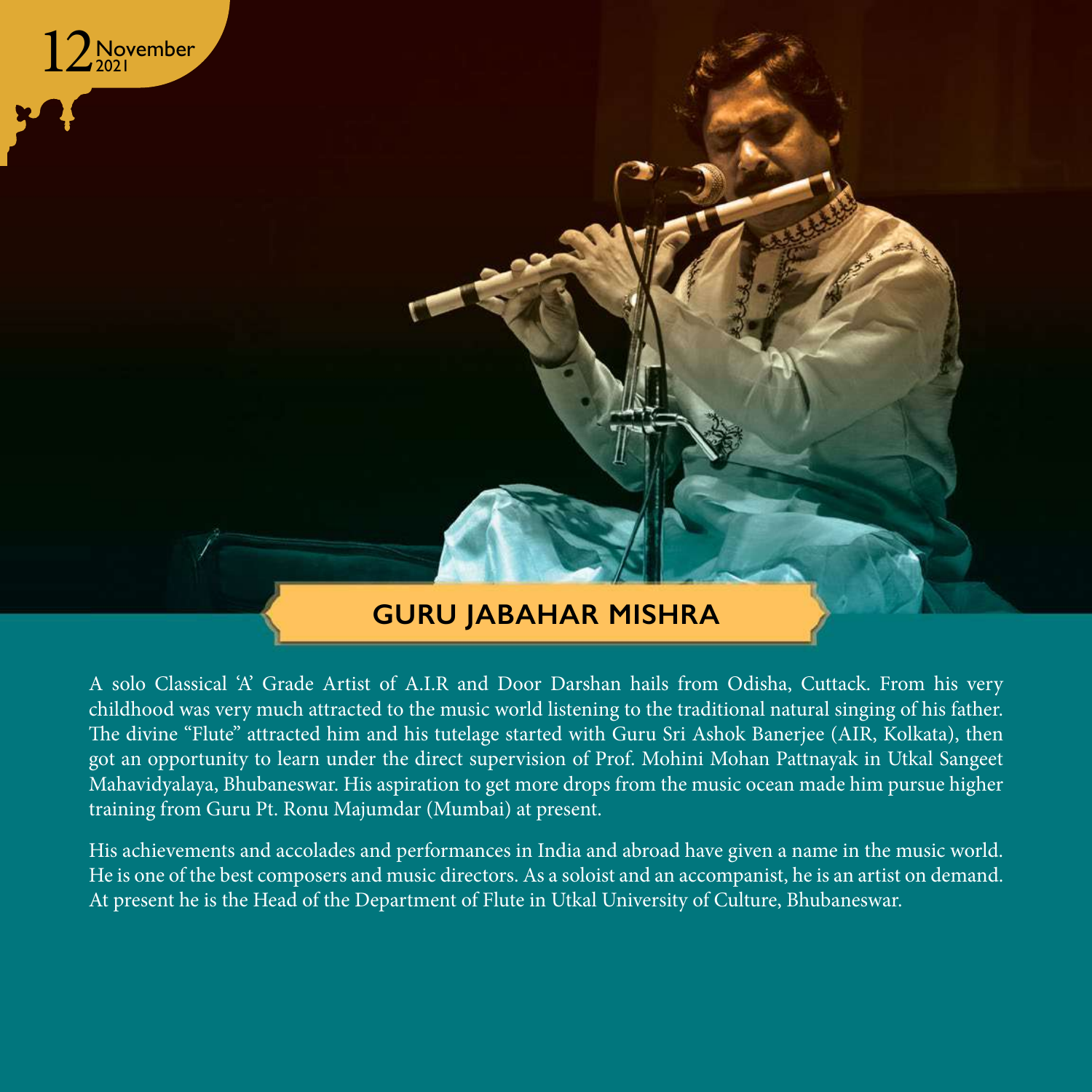

### **Guru JABAHAR MISHRA**

A solo Classical 'A' Grade Artist of A.I.R and Door Darshan hails from Odisha, Cuttack. From his very childhood was very much attracted to the music world listening to the traditional natural singing of his father. The divine "Flute" attracted him and his tutelage started with Guru Sri Ashok Banerjee (AIR, Kolkata), then got an opportunity to learn under the direct supervision of Prof. Mohini Mohan Pattnayak in Utkal Sangeet Mahavidyalaya, Bhubaneswar. His aspiration to get more drops from the music ocean made him pursue higher training from Guru Pt. Ronu Majumdar (Mumbai) at present.

His achievements and accolades and performances in India and abroad have given a name in the music world. He is one of the best composers and music directors. As a soloist and an accompanist, he is an artist on demand. At present he is the Head of the Department of Flute in Utkal University of Culture, Bhubaneswar.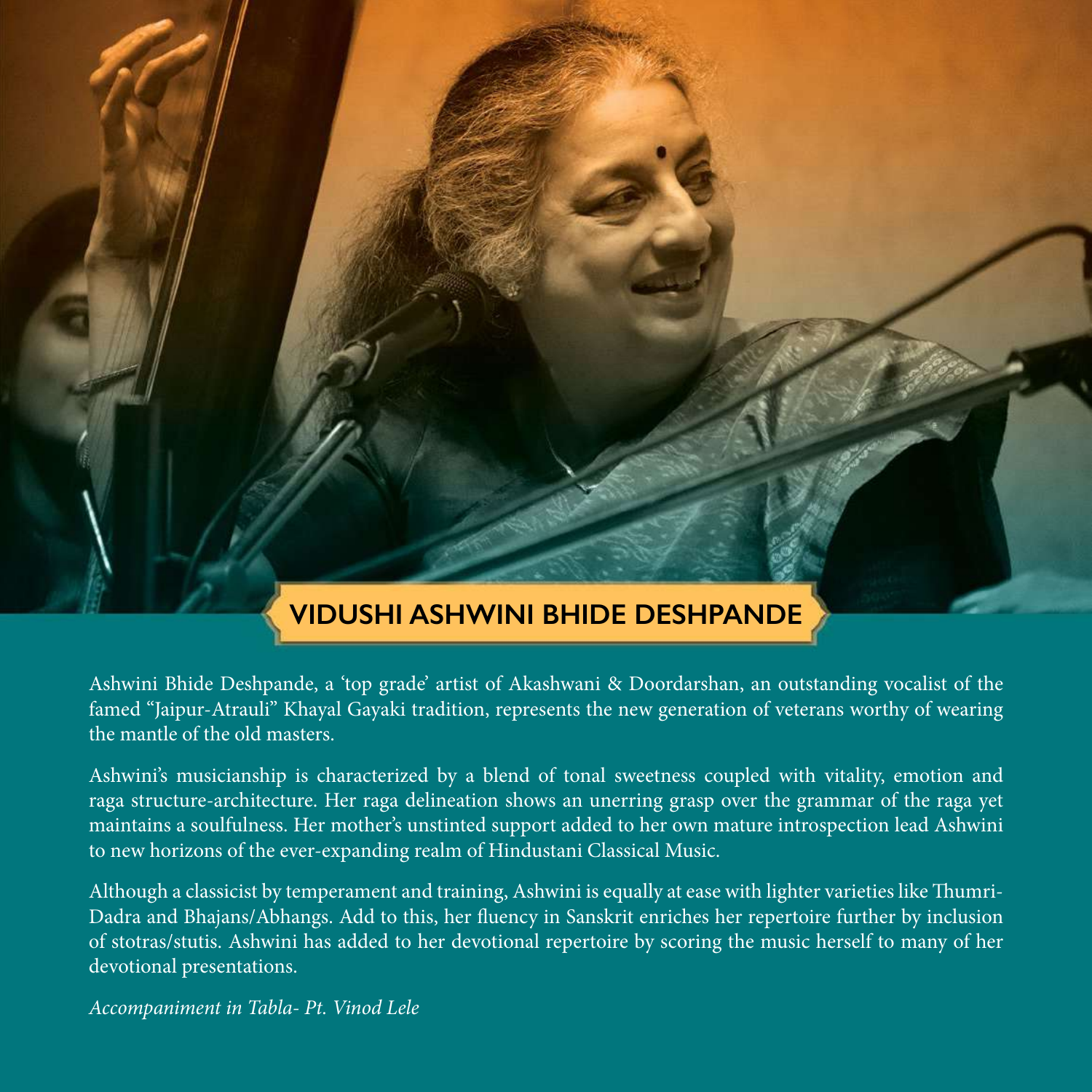

Ashwini Bhide Deshpande, a 'top grade' artist of Akashwani & Doordarshan, an outstanding vocalist of the famed "Jaipur-Atrauli" Khayal Gayaki tradition, represents the new generation of veterans worthy of wearing the mantle of the old masters.

Ashwini's musicianship is characterized by a blend of tonal sweetness coupled with vitality, emotion and raga structure-architecture. Her raga delineation shows an unerring grasp over the grammar of the raga yet maintains a soulfulness. Her mother's unstinted support added to her own mature introspection lead Ashwini to new horizons of the ever-expanding realm of Hindustani Classical Music.

Although a classicist by temperament and training, Ashwini is equally at ease with lighter varieties like Thumri-Dadra and Bhajans/Abhangs. Add to this, her fluency in Sanskrit enriches her repertoire further by inclusion of stotras/stutis. Ashwini has added to her devotional repertoire by scoring the music herself to many of her devotional presentations.

*Accompaniment in Tabla- Pt. Vinod Lele*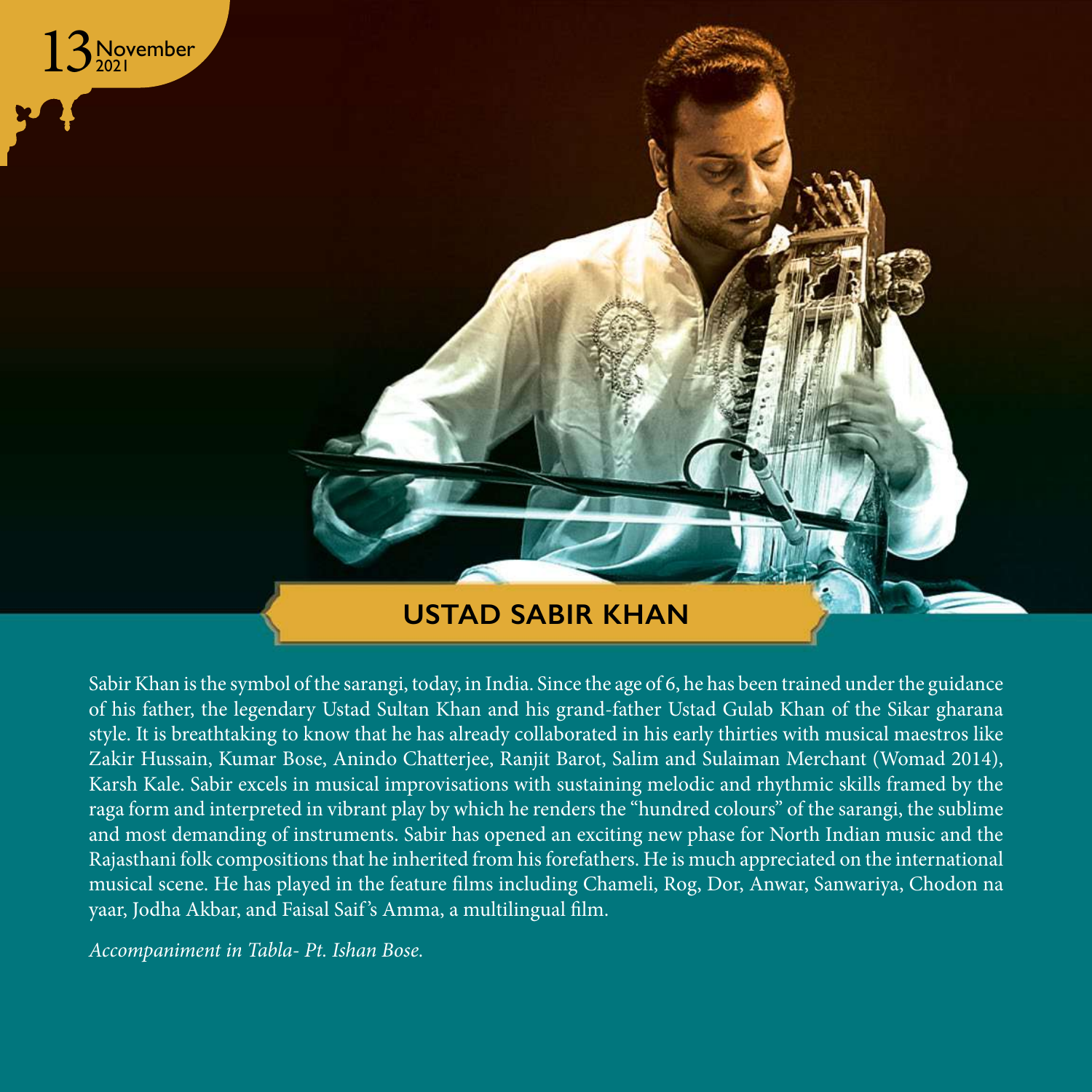

Sabir Khan is the symbol of the sarangi, today, in India. Since the age of 6, he has been trained under the guidance of his father, the legendary Ustad Sultan Khan and his grand-father Ustad Gulab Khan of the Sikar gharana style. It is breathtaking to know that he has already collaborated in his early thirties with musical maestros like Zakir Hussain, Kumar Bose, Anindo Chatterjee, Ranjit Barot, Salim and Sulaiman Merchant (Womad 2014), Karsh Kale. Sabir excels in musical improvisations with sustaining melodic and rhythmic skills framed by the raga form and interpreted in vibrant play by which he renders the "hundred colours" of the sarangi, the sublime and most demanding of instruments. Sabir has opened an exciting new phase for North Indian music and the Rajasthani folk compositions that he inherited from his forefathers. He is much appreciated on the international musical scene. He has played in the feature films including Chameli, Rog, Dor, Anwar, Sanwariya, Chodon na yaar, Jodha Akbar, and Faisal Saif 's Amma, a multilingual film.

*Accompaniment in Tabla- Pt. Ishan Bose.*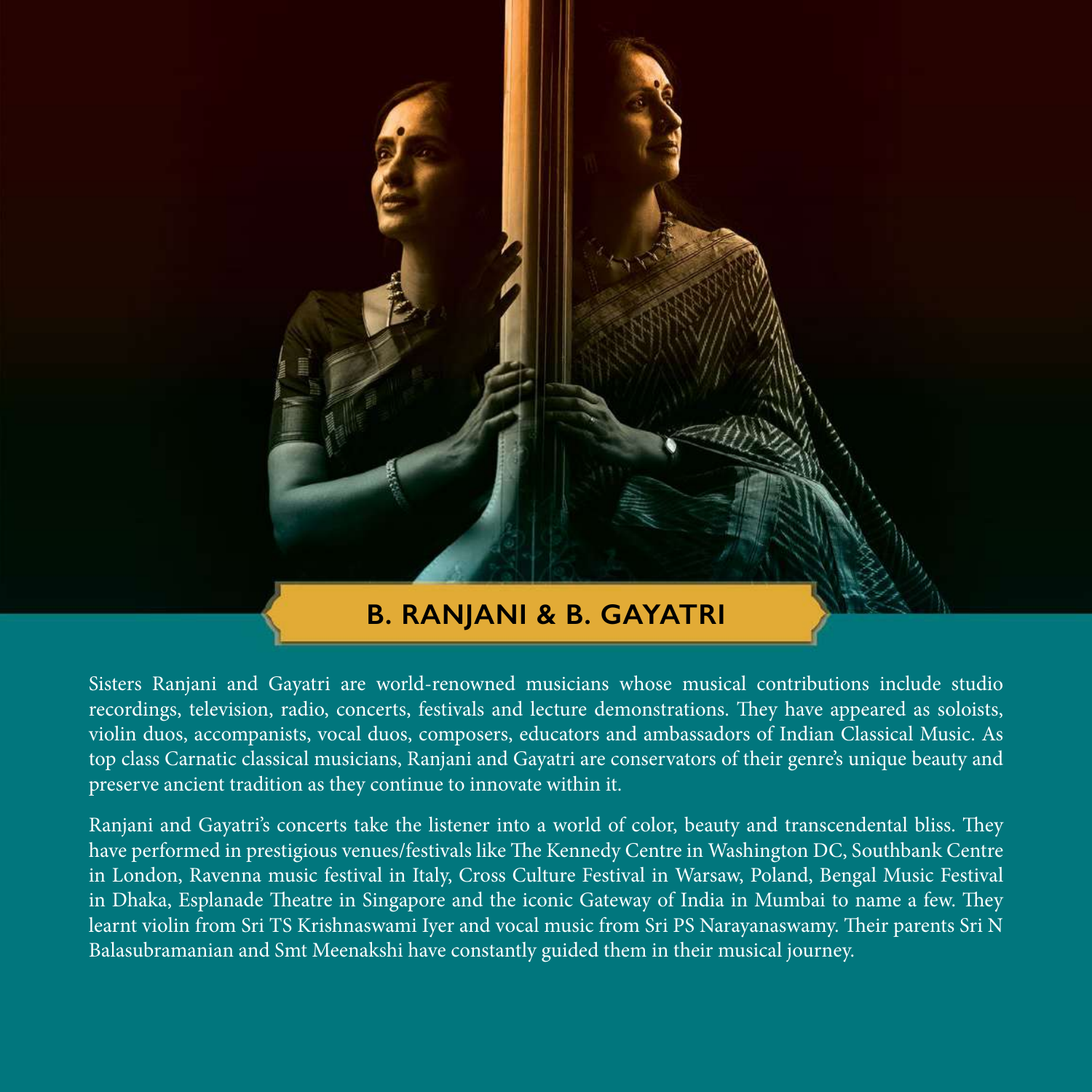#### **B. RANJANI & B. GAYATRI**

Sisters Ranjani and Gayatri are world-renowned musicians whose musical contributions include studio recordings, television, radio, concerts, festivals and lecture demonstrations. They have appeared as soloists, violin duos, accompanists, vocal duos, composers, educators and ambassadors of Indian Classical Music. As top class Carnatic classical musicians, Ranjani and Gayatri are conservators of their genre's unique beauty and preserve ancient tradition as they continue to innovate within it.

Ranjani and Gayatri's concerts take the listener into a world of color, beauty and transcendental bliss. They have performed in prestigious venues/festivals like The Kennedy Centre in Washington DC, Southbank Centre in London, Ravenna music festival in Italy, Cross Culture Festival in Warsaw, Poland, Bengal Music Festival in Dhaka, Esplanade Theatre in Singapore and the iconic Gateway of India in Mumbai to name a few. They learnt violin from Sri TS Krishnaswami Iyer and vocal music from Sri PS Narayanaswamy. Their parents Sri N Balasubramanian and Smt Meenakshi have constantly guided them in their musical journey.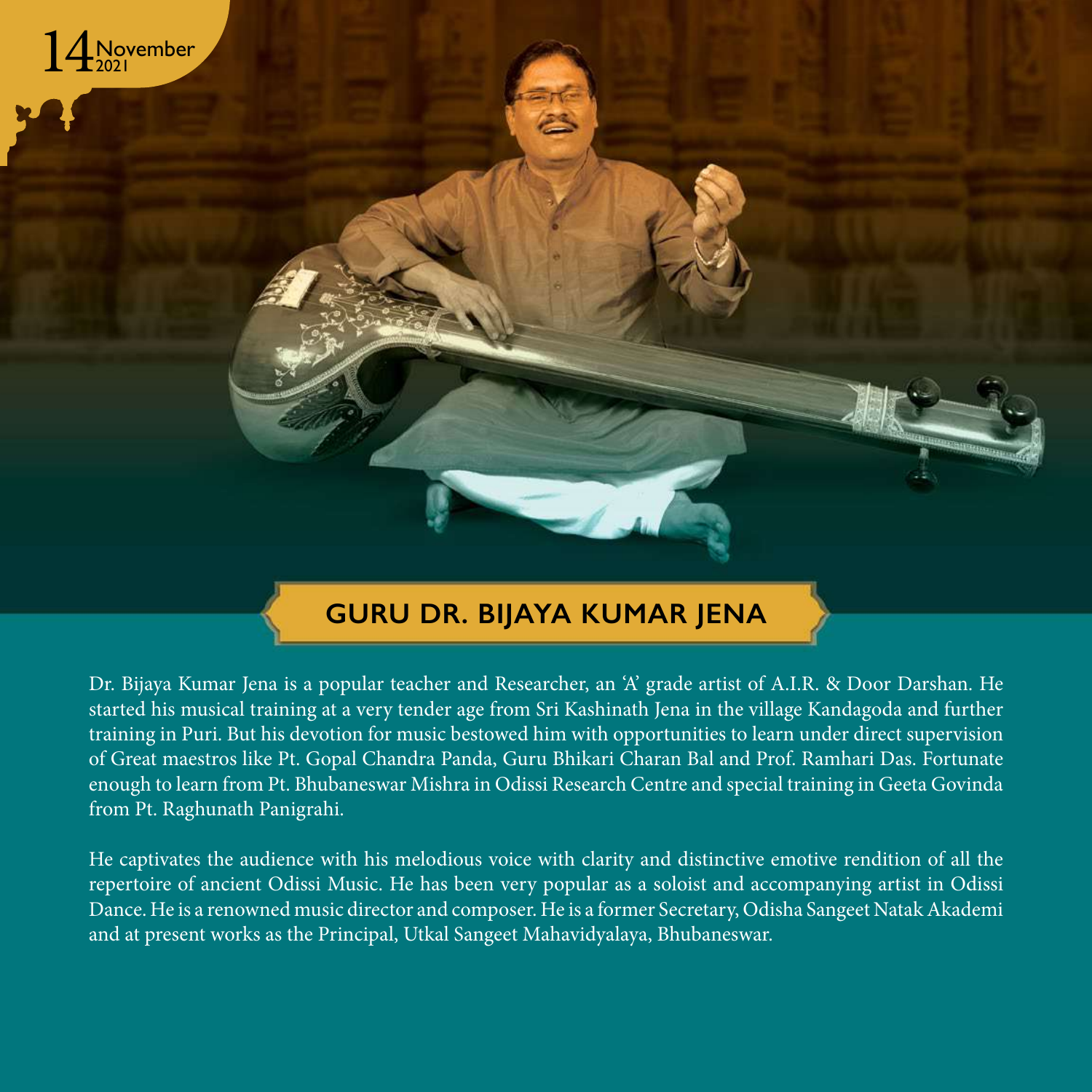

### **GURU DR. BIJAYA KUMAR JENA**

Dr. Bijaya Kumar Jena is a popular teacher and Researcher, an 'A' grade artist of A.I.R. & Door Darshan. He started his musical training at a very tender age from Sri Kashinath Jena in the village Kandagoda and further training in Puri. But his devotion for music bestowed him with opportunities to learn under direct supervision of Great maestros like Pt. Gopal Chandra Panda, Guru Bhikari Charan Bal and Prof. Ramhari Das. Fortunate enough to learn from Pt. Bhubaneswar Mishra in Odissi Research Centre and special training in Geeta Govinda from Pt. Raghunath Panigrahi.

He captivates the audience with his melodious voice with clarity and distinctive emotive rendition of all the repertoire of ancient Odissi Music. He has been very popular as a soloist and accompanying artist in Odissi Dance. He is a renowned music director and composer. He is a former Secretary, Odisha Sangeet Natak Akademi and at present works as the Principal, Utkal Sangeet Mahavidyalaya, Bhubaneswar.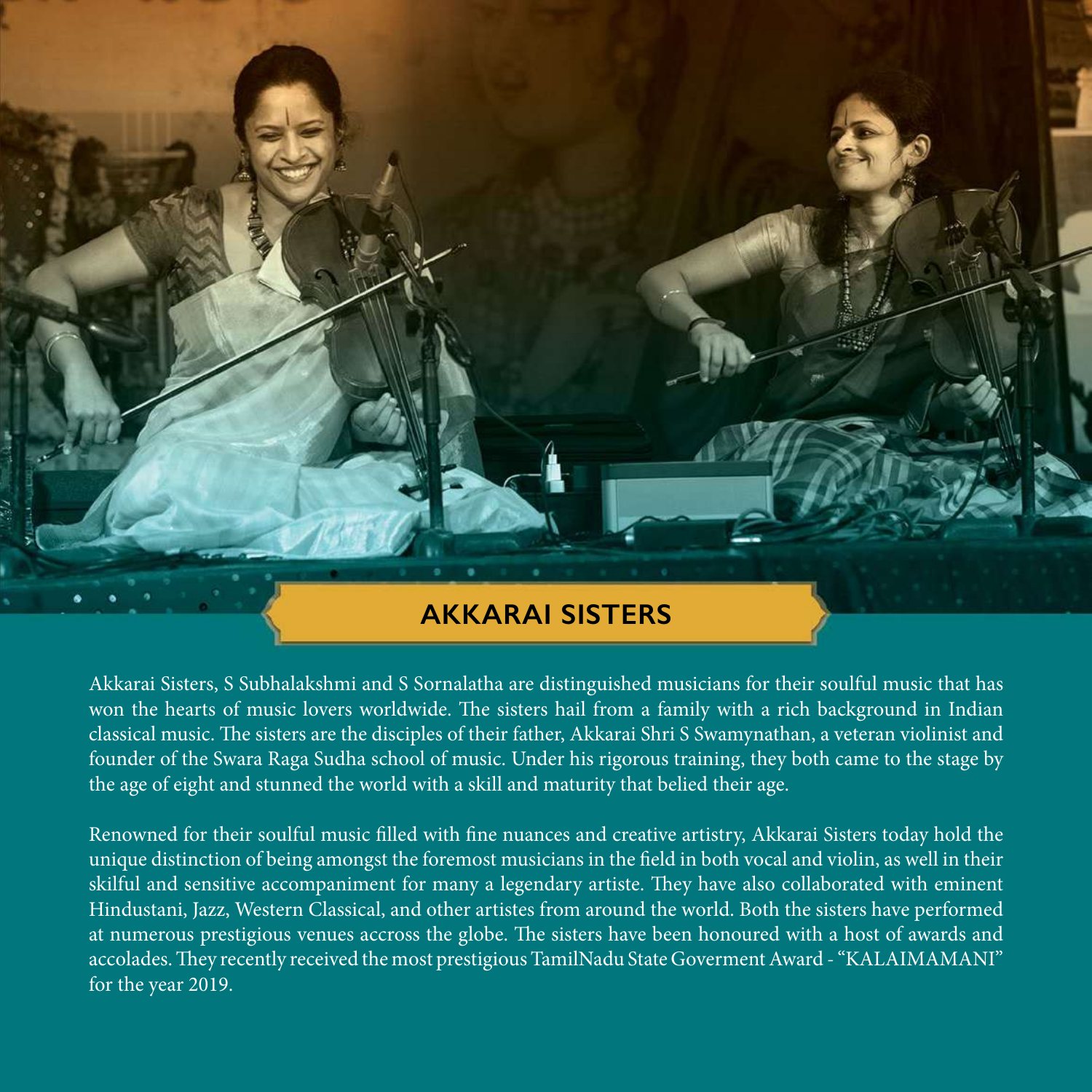

Akkarai Sisters, S Subhalakshmi and S Sornalatha are distinguished musicians for their soulful music that has won the hearts of music lovers worldwide. The sisters hail from a family with a rich background in Indian classical music. The sisters are the disciples of their father, Akkarai Shri S Swamynathan, a veteran violinist and founder of the Swara Raga Sudha school of music. Under his rigorous training, they both came to the stage by the age of eight and stunned the world with a skill and maturity that belied their age.

Renowned for their soulful music filled with fine nuances and creative artistry, Akkarai Sisters today hold the unique distinction of being amongst the foremost musicians in the field in both vocal and violin, as well in their skilful and sensitive accompaniment for many a legendary artiste. They have also collaborated with eminent Hindustani, Jazz, Western Classical, and other artistes from around the world. Both the sisters have performed at numerous prestigious venues accross the globe. The sisters have been honoured with a host of awards and accolades. They recently received the most prestigious TamilNadu State Goverment Award - "KALAIMAMANI" for the year 2019.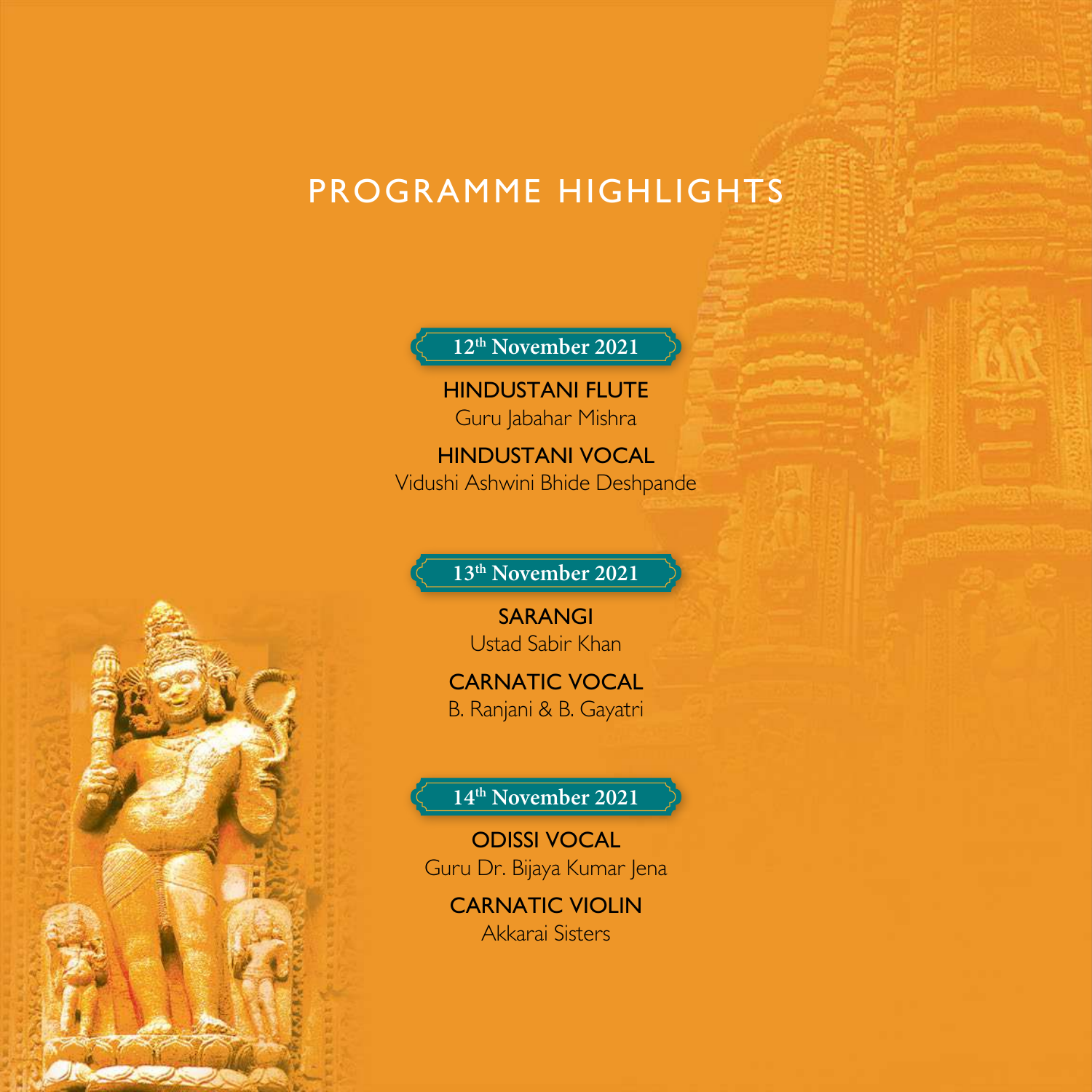## PROGRAMME HIGHLIGHTS

**12th November 2021**

Hindustani Flute Guru Jabahar Mishra

**HINDUSTANI VOCAL** Vidushi Ashwini Bhide Deshpande

#### **13th November 2021**

**SARANGI** Ustad Sabir Khan

**CARNATIC VOCAL** B. Ranjani & B. Gayatri

**14th November 2021**

Odissi Vocal Guru Dr. Bijaya Kumar Jena

Carnatic Violin Akkarai Sisters

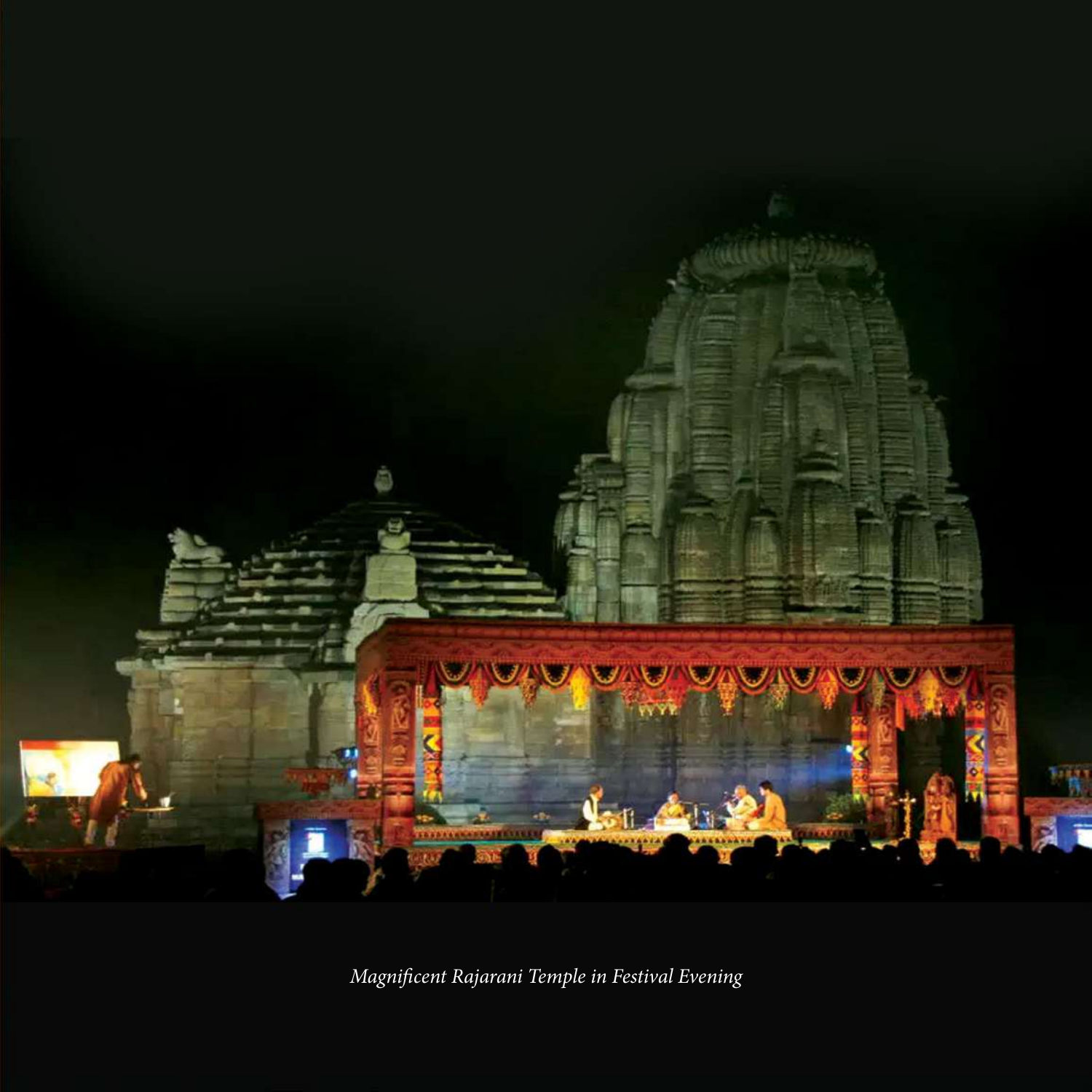

*Magnificent Rajarani Temple in Festival Evening*